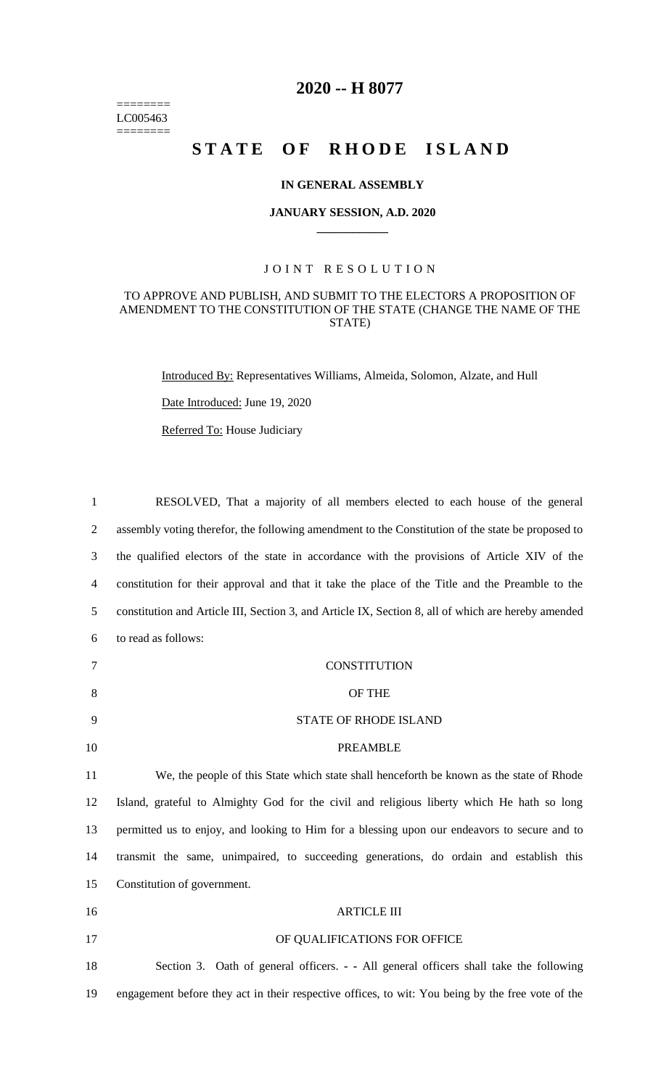======== LC005463  $=$ 

## **2020 -- H 8077**

# STATE OF RHODE ISLAND

#### **IN GENERAL ASSEMBLY**

#### **JANUARY SESSION, A.D. 2020 \_\_\_\_\_\_\_\_\_\_\_\_**

### JOINT RESOLUTION

#### TO APPROVE AND PUBLISH, AND SUBMIT TO THE ELECTORS A PROPOSITION OF AMENDMENT TO THE CONSTITUTION OF THE STATE (CHANGE THE NAME OF THE STATE)

Introduced By: Representatives Williams, Almeida, Solomon, Alzate, and Hull

Date Introduced: June 19, 2020

Referred To: House Judiciary

| $\mathbf{1}$             | RESOLVED, That a majority of all members elected to each house of the general                       |
|--------------------------|-----------------------------------------------------------------------------------------------------|
| $\overline{2}$           | assembly voting therefor, the following amendment to the Constitution of the state be proposed to   |
| 3                        | the qualified electors of the state in accordance with the provisions of Article XIV of the         |
| $\overline{\mathcal{A}}$ | constitution for their approval and that it take the place of the Title and the Preamble to the     |
| 5                        | constitution and Article III, Section 3, and Article IX, Section 8, all of which are hereby amended |
| 6                        | to read as follows:                                                                                 |
| 7                        | <b>CONSTITUTION</b>                                                                                 |
| 8                        | OF THE                                                                                              |
| 9                        | STATE OF RHODE ISLAND                                                                               |
| 10                       | <b>PREAMBLE</b>                                                                                     |
| 11                       | We, the people of this State which state shall henceforth be known as the state of Rhode            |
| 12                       | Island, grateful to Almighty God for the civil and religious liberty which He hath so long          |
| 13                       | permitted us to enjoy, and looking to Him for a blessing upon our endeavors to secure and to        |
| 14                       | transmit the same, unimpaired, to succeeding generations, do ordain and establish this              |
| 15                       | Constitution of government.                                                                         |
| 16                       | <b>ARTICLE III</b>                                                                                  |
| 17                       | OF QUALIFICATIONS FOR OFFICE                                                                        |
| 18                       | Section 3. Oath of general officers. - - All general officers shall take the following              |
| 19                       | engagement before they act in their respective offices, to wit: You being by the free vote of the   |